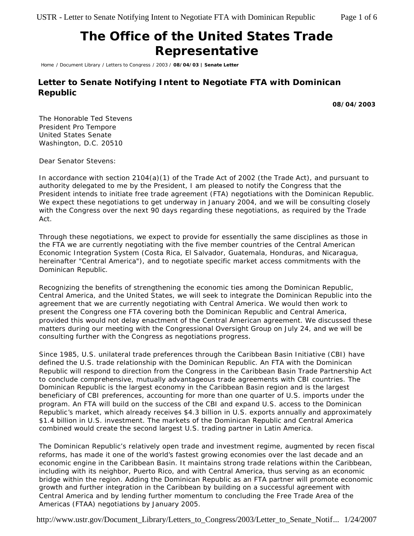## **The Office of the United States Trade Representative**

Home / Document Library / Letters to Congress / 2003 / **08/04/03 | Senate Letter**

## **Letter to Senate Notifying Intent to Negotiate FTA with Dominican Republic**

**08/04/2003**

The Honorable Ted Stevens President Pro Tempore United States Senate Washington, D.C. 20510

Dear Senator Stevens:

In accordance with section 2104(a)(1) of the Trade Act of 2002 (the Trade Act), and pursuant to authority delegated to me by the President, I am pleased to notify the Congress that the President intends to initiate free trade agreement (FTA) negotiations with the Dominican Republic. We expect these negotiations to get underway in January 2004, and we will be consulting closely with the Congress over the next 90 days regarding these negotiations, as required by the Trade Act.

Through these negotiations, we expect to provide for essentially the same disciplines as those in the FTA we are currently negotiating with the five member countries of the Central American Economic Integration System (Costa Rica, El Salvador, Guatemala, Honduras, and Nicaragua, hereinafter "Central America"), and to negotiate specific market access commitments with the Dominican Republic.

Recognizing the benefits of strengthening the economic ties among the Dominican Republic, Central America, and the United States, we will seek to integrate the Dominican Republic into the agreement that we are currently negotiating with Central America*.* We would then work to present the Congress one FTA covering both the Dominican Republic and Central America, provided this would not delay enactment of the Central American agreement. We discussed these matters during our meeting with the Congressional Oversight Group on July 24, and we will be consulting further with the Congress as negotiations progress.

Since 1985, U.S. unilateral trade preferences through the Caribbean Basin Initiative (CBI) have defined the U.S. trade relationship with the Dominican Republic. An FTA with the Dominican Republic will respond to direction from the Congress in the Caribbean Basin Trade Partnership Act to conclude comprehensive, mutually advantageous trade agreements with CBI countries. The Dominican Republic is the largest economy in the Caribbean Basin region and is the largest beneficiary of CBI preferences, accounting for more than one quarter of U.S. imports under the program. An FTA will build on the success of the CBI and expand U.S. access to the Dominican Republic's market, which already receives \$4.3 billion in U.S. exports annually and approximately \$1.4 billion in U.S. investment. The markets of the Dominican Republic and Central America combined would create the second largest U.S. trading partner in Latin America.

The Dominican Republic's relatively open trade and investment regime, augmented by recen fiscal reforms, has made it one of the world's fastest growing economies over the last decade and an economic engine in the Caribbean Basin. It maintains strong trade relations within the Caribbean, including with its neighbor, Puerto Rico, and with Central America, thus serving as an economic bridge within the region. Adding the Dominican Republic as an FTA partner will promote economic growth and further integration in the Caribbean by building on a successful agreement with Central America and by lending further momentum to concluding the Free Trade Area of the Americas (FTAA) negotiations by January 2005.

http://www.ustr.gov/Document\_Library/Letters\_to\_Congress/2003/Letter\_to\_Senate\_Notif... 1/24/2007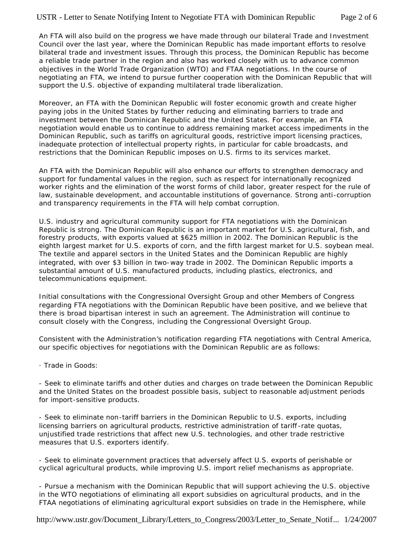An FTA will also build on the progress we have made through our bilateral Trade and Investment Council over the last year, where the Dominican Republic has made important efforts to resolve bilateral trade and investment issues. Through this process, the Dominican Republic has become a reliable trade partner in the region and also has worked closely with us to advance common objectives in the World Trade Organization (WTO) and FTAA negotiations. In the course of negotiating an FTA, we intend to pursue further cooperation with the Dominican Republic that will support the U.S. objective of expanding multilateral trade liberalization.

Moreover, an FTA with the Dominican Republic will foster economic growth and create higher paying jobs in the United States by further reducing and eliminating barriers to trade and investment between the Dominican Republic and the United States. For example, an FTA negotiation would enable us to continue to address remaining market access impediments in the Dominican Republic, such as tariffs on agricultural goods, restrictive import licensing practices, inadequate protection of intellectual property rights, in particular for cable broadcasts, and restrictions that the Dominican Republic imposes on U.S. firms to its services market.

An FTA with the Dominican Republic will also enhance our efforts to strengthen democracy and support for fundamental values in the region, such as respect for internationally recognized worker rights and the elimination of the worst forms of child labor, greater respect for the rule of law, sustainable development, and accountable institutions of governance. Strong anti-corruption and transparency requirements in the FTA will help combat corruption.

U.S. industry and agricultural community support for FTA negotiations with the Dominican Republic is strong. The Dominican Republic is an important market for U.S. agricultural, fish, and forestry products, with exports valued at \$625 million in 2002. The Dominican Republic is the eighth largest market for U.S. exports of corn, and the fifth largest market for U.S. soybean meal. The textile and apparel sectors in the United States and the Dominican Republic are highly integrated, with over \$3 billion in two-way trade in 2002. The Dominican Republic imports a substantial amount of U.S. manufactured products, including plastics, electronics, and telecommunications equipment.

Initial consultations with the Congressional Oversight Group and other Members of Congress regarding FTA negotiations with the Dominican Republic have been positive, and we believe that there is broad bipartisan interest in such an agreement. The Administration will continue to consult closely with the Congress, including the Congressional Oversight Group.

Consistent with the Administration's notification regarding FTA negotiations with Central America, our specific objectives for negotiations with the Dominican Republic are as follows:

· *Trade in Goods*:

- Seek to eliminate tariffs and other duties and charges on trade between the Dominican Republic and the United States on the broadest possible basis, subject to reasonable adjustment periods for import-sensitive products.

- Seek to eliminate non-tariff barriers in the Dominican Republic to U.S. exports, including licensing barriers on agricultural products, restrictive administration of tariff -rate quotas, unjustified trade restrictions that affect new U.S. technologies, and other trade restrictive measures that U.S. exporters identify.

- Seek to eliminate government practices that adversely affect U.S. exports of perishable or cyclical agricultural products, while improving U.S. import relief mechanisms as appropriate.

- Pursue a mechanism with the Dominican Republic that will support achieving the U.S. objective in the WTO negotiations of eliminating all export subsidies on agricultural products, and in the FTAA negotiations of eliminating agricultural export subsidies on trade in the Hemisphere, while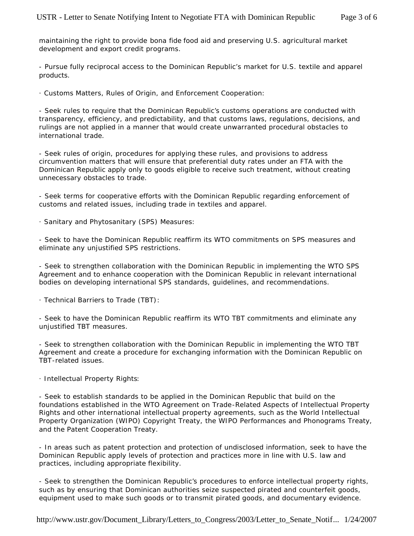maintaining the right to provide *bona fide* food aid and preserving U.S. agricultural market development and export credit programs.

- Pursue fully reciprocal access to the Dominican Republic's market for U.S. textile and apparel products.

· *Customs Matters, Rules of Origin, and Enforcement Cooperation*:

- Seek rules to require that the Dominican Republic's customs operations are conducted with transparency, efficiency, and predictability, and that customs laws, regulations, decisions, and rulings are not applied in a manner that would create unwarranted procedural obstacles to international trade.

- Seek rules of origin, procedures for applying these rules, and provisions to address circumvention matters that will ensure that preferential duty rates under an FTA with the Dominican Republic apply only to goods eligible to receive such treatment, without creating unnecessary obstacles to trade.

- Seek terms for cooperative efforts with the Dominican Republic regarding enforcement of customs and related issues, including trade in textiles and apparel.

· *Sanitary and Phytosanitary (SPS) Measures*:

- Seek to have the Dominican Republic reaffirm its WTO commitments on SPS measures and eliminate any unjustified SPS restrictions.

- Seek to strengthen collaboration with the Dominican Republic in implementing the WTO SPS Agreement and to enhance cooperation with the Dominican Republic in relevant international bodies on developing international SPS standards, guidelines, and recommendations.

· *Technical Barriers to Trade (TBT)*:

- Seek to have the Dominican Republic reaffirm its WTO TBT commitments and eliminate any unjustified TBT measures.

- Seek to strengthen collaboration with the Dominican Republic in implementing the WTO TBT Agreement and create a procedure for exchanging information with the Dominican Republic on TBT-related issues.

## · *Intellectual Property Rights*:

- Seek to establish standards to be applied in the Dominican Republic that build on the foundations established in the WTO Agreement on Trade-Related Aspects of Intellectual Property Rights and other international intellectual property agreements, such as the World Intellectual Property Organization (WIPO) Copyright Treaty, the WIPO Performances and Phonograms Treaty, and the Patent Cooperation Treaty.

- In areas such as patent protection and protection of undisclosed information, seek to have the Dominican Republic apply levels of protection and practices more in line with U.S. law and practices, including appropriate flexibility.

- Seek to strengthen the Dominican Republic's procedures to enforce intellectual property rights, such as by ensuring that Dominican authorities seize suspected pirated and counterfeit goods, equipment used to make such goods or to transmit pirated goods, and documentary evidence.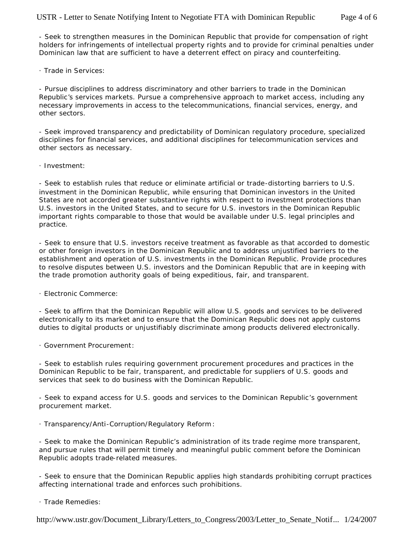- Seek to strengthen measures in the Dominican Republic that provide for compensation of right holders for infringements of intellectual property rights and to provide for criminal penalties under Dominican law that are sufficient to have a deterrent effect on piracy and counterfeiting.

## · *Trade in Services*:

- Pursue disciplines to address discriminatory and other barriers to trade in the Dominican Republic's services markets. Pursue a comprehensive approach to market access, including any necessary improvements in access to the telecommunications, financial services, energy, and other sectors.

- Seek improved transparency and predictability of Dominican regulatory procedure, specialized disciplines for financial services, and additional disciplines for telecommunication services and other sectors as necessary.

· *Investment*:

- Seek to establish rules that reduce or eliminate artificial or trade-distorting barriers to U.S. investment in the Dominican Republic, while ensuring that Dominican investors in the United States are not accorded greater substantive rights with respect to investment protections than U.S. investors in the United States, and to secure for U.S. investors in the Dominican Republic important rights comparable to those that would be available under U.S. legal principles and practice.

- Seek to ensure that U.S. investors receive treatment as favorable as that accorded to domestic or other foreign investors in the Dominican Republic and to address unjustified barriers to the establishment and operation of U.S. investments in the Dominican Republic. Provide procedures to resolve disputes between U.S. investors and the Dominican Republic that are in keeping with the trade promotion authority goals of being expeditious, fair, and transparent.

· *Electronic Commerce*:

- Seek to affirm that the Dominican Republic will allow U.S. goods and services to be delivered electronically to its market and to ensure that the Dominican Republic does not apply customs duties to digital products or unjustifiably discriminate among products delivered electronically.

· *Government Procurement*:

- Seek to establish rules requiring government procurement procedures and practices in the Dominican Republic to be fair, transparent, and predictable for suppliers of U.S. goods and services that seek to do business with the Dominican Republic.

- Seek to expand access for U.S. goods and services to the Dominican Republic's government procurement market.

· *Transparency/Anti-Corruption/Regulatory Reform*:

- Seek to make the Dominican Republic's administration of its trade regime more transparent, and pursue rules that will permit timely and meaningful public comment before the Dominican Republic adopts trade-related measures.

- Seek to ensure that the Dominican Republic applies high standards prohibiting corrupt practices affecting international trade and enforces such prohibitions.

· *Trade Remedies*:

http://www.ustr.gov/Document\_Library/Letters\_to\_Congress/2003/Letter\_to\_Senate\_Notif... 1/24/2007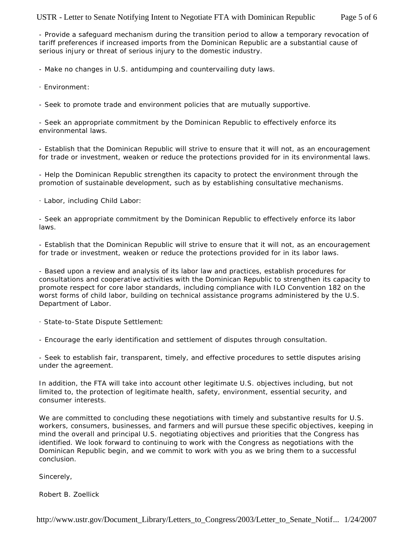- Provide a safeguard mechanism during the transition period to allow a temporary revocation of tariff preferences if increased imports from the Dominican Republic are a substantial cause of serious injury or threat of serious injury to the domestic industry.

- Make no changes in U.S. antidumping and countervailing duty laws.

· *Environment*:

- Seek to promote trade and environment policies that are mutually supportive.

- Seek an appropriate commitment by the Dominican Republic to effectively enforce its environmental laws.

- Establish that the Dominican Republic will strive to ensure that it will not, as an encouragement for trade or investment, weaken or reduce the protections provided for in its environmental laws.

- Help the Dominican Republic strengthen its capacity to protect the environment through the promotion of sustainable development, such as by establishing consultative mechanisms.

· *Labor, including Child Labor*:

- Seek an appropriate commitment by the Dominican Republic to effectively enforce its labor laws.

- Establish that the Dominican Republic will strive to ensure that it will not, as an encouragement for trade or investment, weaken or reduce the protections provided for in its labor laws.

- Based upon a review and analysis of its labor law and practices, establish procedures for consultations and cooperative activities with the Dominican Republic to strengthen its capacity to promote respect for core labor standards, including compliance with ILO Convention 182 on the worst forms of child labor, building on technical assistance programs administered by the U.S. Department of Labor.

· *State-to-State Dispute Settlement*:

- Encourage the early identification and settlement of disputes through consultation.

- Seek to establish fair, transparent, timely, and effective procedures to settle disputes arising under the agreement.

In addition, the FTA will take into account other legitimate U.S. objectives including, but not limited to, the protection of legitimate health, safety, environment, essential security, and consumer interests.

We are committed to concluding these negotiations with timely and substantive results for U.S. workers, consumers, businesses, and farmers and will pursue these specific objectives, keeping in mind the overall and principal U.S. negotiating objectives and priorities that the Congress has identified. We look forward to continuing to work with the Congress as negotiations with the Dominican Republic begin, and we commit to work with you as we bring them to a successful conclusion.

Sincerely,

Robert B. Zoellick